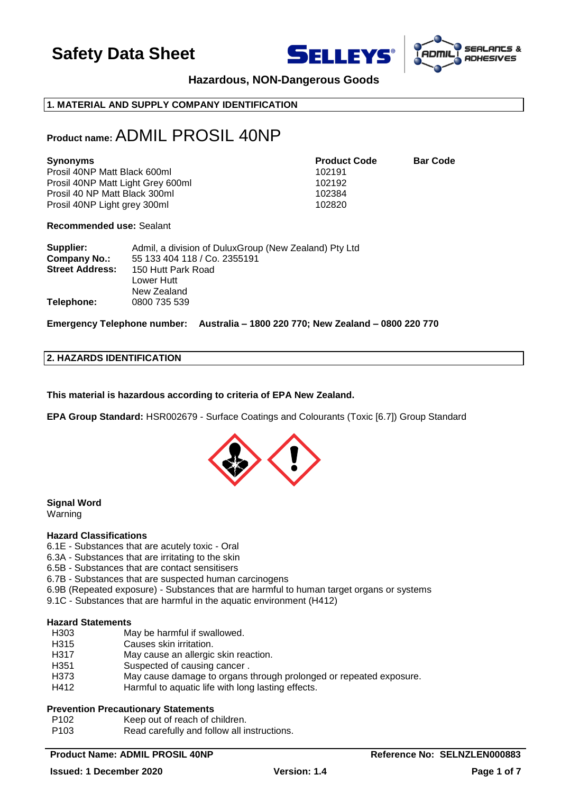





### **Hazardous, NON-Dangerous Goods**

### **1. MATERIAL AND SUPPLY COMPANY IDENTIFICATION**

### **Product name:** ADMIL PROSIL 40NP

| <b>Synonyms</b>                   | <b>Product Code</b> | <b>Bar Code</b> |
|-----------------------------------|---------------------|-----------------|
| Prosil 40NP Matt Black 600ml      | 102191              |                 |
| Prosil 40NP Matt Light Grey 600ml | 102192              |                 |
| Prosil 40 NP Matt Black 300ml     | 102384              |                 |
| Prosil 40NP Light grey 300ml      | 102820              |                 |

**Recommended use:** Sealant

| Supplier:              | Admil, a division of DuluxGroup (New Zealand) Pty Ltd |
|------------------------|-------------------------------------------------------|
| <b>Company No.:</b>    | 55 133 404 118 / Co. 2355191                          |
| <b>Street Address:</b> | 150 Hutt Park Road                                    |
|                        | Lower Hutt                                            |
|                        | New Zealand                                           |
| Telephone:             | 0800 735 539                                          |

**Emergency Telephone number: Australia – 1800 220 770; New Zealand – 0800 220 770**

### **2. HAZARDS IDENTIFICATION**

**This material is hazardous according to criteria of EPA New Zealand.**

**EPA Group Standard:** HSR002679 - Surface Coatings and Colourants (Toxic [6.7]) Group Standard



### **Signal Word**

Warning

### **Hazard Classifications**

- 6.1E Substances that are acutely toxic Oral
- 6.3A Substances that are irritating to the skin
- 6.5B Substances that are contact sensitisers
- 6.7B Substances that are suspected human carcinogens
- 6.9B (Repeated exposure) Substances that are harmful to human target organs or systems
- 9.1C Substances that are harmful in the aquatic environment (H412)

### **Hazard Statements**

- H303 May be harmful if swallowed.
- H315 Causes skin irritation.
- H317 May cause an allergic skin reaction.
- H351 Suspected of causing cancer.
- H373 May cause damage to organs through prolonged or repeated exposure.
- H412 Harmful to aquatic life with long lasting effects.

### **Prevention Precautionary Statements**

- P102 Keep out of reach of children.
- P103 Read carefully and follow all instructions.

### **Product Name: ADMIL PROSIL 40NP Reference No: SELNZLEN000883**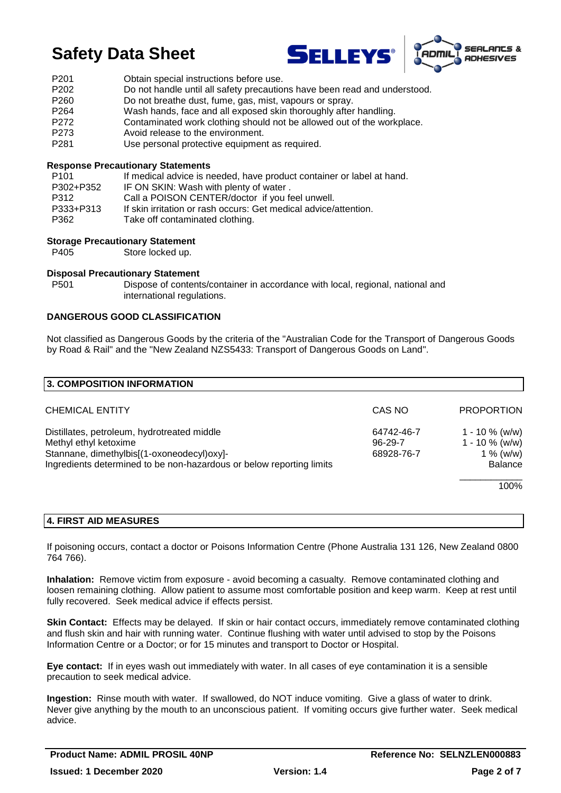



- P201 Obtain special instructions before use.
- P202 Do not handle until all safety precautions have been read and understood.
- P260 Do not breathe dust, fume, gas, mist, vapours or spray.
- P264 Wash hands, face and all exposed skin thoroughly after handling.
- P272 Contaminated work clothing should not be allowed out of the workplace.
- P273 Avoid release to the environment.
- P281 Use personal protective equipment as required.

### **Response Precautionary Statements**

| P <sub>101</sub> | If medical advice is needed, have product container or label at hand. |
|------------------|-----------------------------------------------------------------------|
| P302+P352        | IF ON SKIN: Wash with plenty of water.                                |
| P312             | Call a POISON CENTER/doctor if you feel unwell.                       |
| P333+P313        | If skin irritation or rash occurs: Get medical advice/attention.      |
| P362             | Take off contaminated clothing.                                       |

### **Storage Precautionary Statement**

P405 Store locked up.

### **Disposal Precautionary Statement**

P501 Dispose of contents/container in accordance with local, regional, national and international regulations.

### **DANGEROUS GOOD CLASSIFICATION**

Not classified as Dangerous Goods by the criteria of the "Australian Code for the Transport of Dangerous Goods by Road & Rail" and the "New Zealand NZS5433: Transport of Dangerous Goods on Land".

| 3. COMPOSITION INFORMATION                                                                                                                                                                 |                                           |                                                                       |
|--------------------------------------------------------------------------------------------------------------------------------------------------------------------------------------------|-------------------------------------------|-----------------------------------------------------------------------|
| <b>CHEMICAL ENTITY</b>                                                                                                                                                                     | CAS NO                                    | <b>PROPORTION</b>                                                     |
| Distillates, petroleum, hydrotreated middle<br>Methyl ethyl ketoxime<br>Stannane, dimethylbis[(1-oxoneodecyl)oxy]-<br>Ingredients determined to be non-hazardous or below reporting limits | 64742-46-7<br>$96 - 29 - 7$<br>68928-76-7 | 1 - 10 $\%$ (w/w)<br>$1 - 10 \%$ (w/w)<br>1 % (w/w)<br><b>Balance</b> |
|                                                                                                                                                                                            |                                           | 100%                                                                  |

### **4. FIRST AID MEASURES**

If poisoning occurs, contact a doctor or Poisons Information Centre (Phone Australia 131 126, New Zealand 0800 764 766).

**Inhalation:** Remove victim from exposure - avoid becoming a casualty. Remove contaminated clothing and loosen remaining clothing. Allow patient to assume most comfortable position and keep warm. Keep at rest until fully recovered. Seek medical advice if effects persist.

**Skin Contact:** Effects may be delayed. If skin or hair contact occurs, immediately remove contaminated clothing and flush skin and hair with running water. Continue flushing with water until advised to stop by the Poisons Information Centre or a Doctor; or for 15 minutes and transport to Doctor or Hospital.

**Eye contact:** If in eyes wash out immediately with water. In all cases of eye contamination it is a sensible precaution to seek medical advice.

**Ingestion:** Rinse mouth with water. If swallowed, do NOT induce vomiting. Give a glass of water to drink. Never give anything by the mouth to an unconscious patient. If vomiting occurs give further water. Seek medical advice.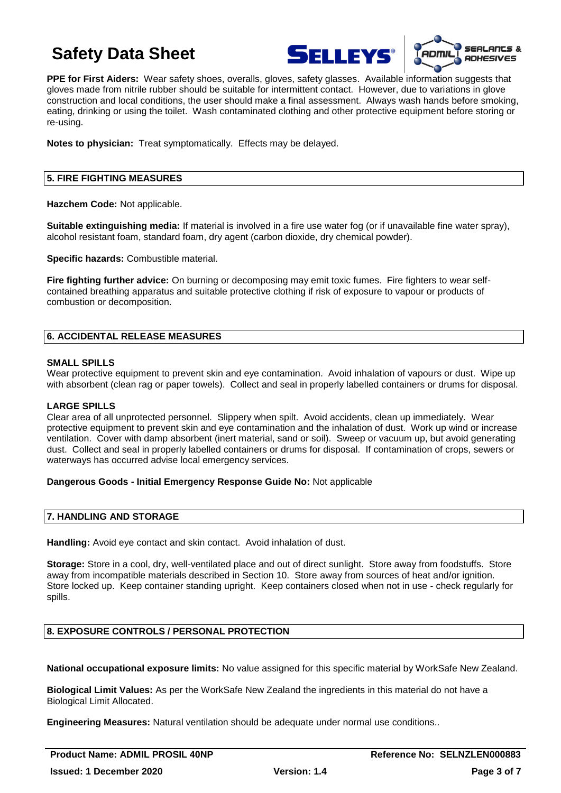



**PPE for First Aiders:** Wear safety shoes, overalls, gloves, safety glasses. Available information suggests that gloves made from nitrile rubber should be suitable for intermittent contact. However, due to variations in glove construction and local conditions, the user should make a final assessment. Always wash hands before smoking, eating, drinking or using the toilet. Wash contaminated clothing and other protective equipment before storing or re-using.

**Notes to physician:** Treat symptomatically. Effects may be delayed.

### **5. FIRE FIGHTING MEASURES**

**Hazchem Code:** Not applicable.

**Suitable extinguishing media:** If material is involved in a fire use water fog (or if unavailable fine water spray), alcohol resistant foam, standard foam, dry agent (carbon dioxide, dry chemical powder).

**Specific hazards:** Combustible material.

**Fire fighting further advice:** On burning or decomposing may emit toxic fumes. Fire fighters to wear selfcontained breathing apparatus and suitable protective clothing if risk of exposure to vapour or products of combustion or decomposition.

### **6. ACCIDENTAL RELEASE MEASURES**

### **SMALL SPILLS**

Wear protective equipment to prevent skin and eye contamination. Avoid inhalation of vapours or dust. Wipe up with absorbent (clean rag or paper towels). Collect and seal in properly labelled containers or drums for disposal.

### **LARGE SPILLS**

Clear area of all unprotected personnel. Slippery when spilt. Avoid accidents, clean up immediately. Wear protective equipment to prevent skin and eye contamination and the inhalation of dust. Work up wind or increase ventilation. Cover with damp absorbent (inert material, sand or soil). Sweep or vacuum up, but avoid generating dust. Collect and seal in properly labelled containers or drums for disposal. If contamination of crops, sewers or waterways has occurred advise local emergency services.

### **Dangerous Goods - Initial Emergency Response Guide No:** Not applicable

### **7. HANDLING AND STORAGE**

**Handling:** Avoid eye contact and skin contact. Avoid inhalation of dust.

**Storage:** Store in a cool, dry, well-ventilated place and out of direct sunlight. Store away from foodstuffs. Store away from incompatible materials described in Section 10. Store away from sources of heat and/or ignition. Store locked up. Keep container standing upright. Keep containers closed when not in use - check regularly for spills.

### **8. EXPOSURE CONTROLS / PERSONAL PROTECTION**

**National occupational exposure limits:** No value assigned for this specific material by WorkSafe New Zealand.

**Biological Limit Values:** As per the WorkSafe New Zealand the ingredients in this material do not have a Biological Limit Allocated.

**Engineering Measures:** Natural ventilation should be adequate under normal use conditions..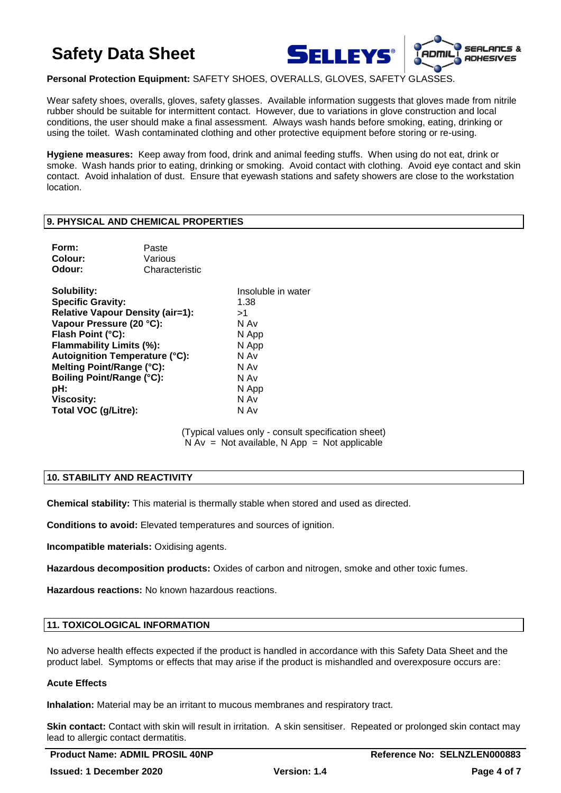

**Personal Protection Equipment:** SAFETY SHOES, OVERALLS, GLOVES, SAFETY GLASSES.

Wear safety shoes, overalls, gloves, safety glasses. Available information suggests that gloves made from nitrile rubber should be suitable for intermittent contact. However, due to variations in glove construction and local conditions, the user should make a final assessment. Always wash hands before smoking, eating, drinking or using the toilet. Wash contaminated clothing and other protective equipment before storing or re-using.

**Hygiene measures:** Keep away from food, drink and animal feeding stuffs. When using do not eat, drink or smoke. Wash hands prior to eating, drinking or smoking. Avoid contact with clothing. Avoid eye contact and skin contact. Avoid inhalation of dust. Ensure that eyewash stations and safety showers are close to the workstation location.

### **9. PHYSICAL AND CHEMICAL PROPERTIES**

| Form:<br>Colour:<br>Odour:              | Paste<br>Various<br>Characteristic |                    |
|-----------------------------------------|------------------------------------|--------------------|
| Solubility:                             |                                    | Insoluble in water |
| <b>Specific Gravity:</b>                |                                    | 1.38               |
| <b>Relative Vapour Density (air=1):</b> |                                    | >1                 |
| Vapour Pressure (20 °C):                |                                    | N Av               |
| Flash Point (°C):                       |                                    | N App              |
| <b>Flammability Limits (%):</b>         |                                    | N App              |
| <b>Autoignition Temperature (°C):</b>   |                                    | N Av               |
| Melting Point/Range (°C):               |                                    | N Av               |
| Boiling Point/Range (°C):               |                                    | N Av               |
| pH:                                     |                                    | N App              |
| <b>Viscosity:</b>                       |                                    | N Av               |
| Total VOC (g/Litre):                    |                                    | N Av               |

(Typical values only - consult specification sheet)  $N Av = Not available, N App = Not applicable$ 

### **10. STABILITY AND REACTIVITY**

**Chemical stability:** This material is thermally stable when stored and used as directed.

**Conditions to avoid:** Elevated temperatures and sources of ignition.

**Incompatible materials:** Oxidising agents.

**Hazardous decomposition products:** Oxides of carbon and nitrogen, smoke and other toxic fumes.

**Hazardous reactions:** No known hazardous reactions.

### **11. TOXICOLOGICAL INFORMATION**

No adverse health effects expected if the product is handled in accordance with this Safety Data Sheet and the product label. Symptoms or effects that may arise if the product is mishandled and overexposure occurs are:

### **Acute Effects**

**Inhalation:** Material may be an irritant to mucous membranes and respiratory tract.

**Skin contact:** Contact with skin will result in irritation. A skin sensitiser. Repeated or prolonged skin contact may lead to allergic contact dermatitis.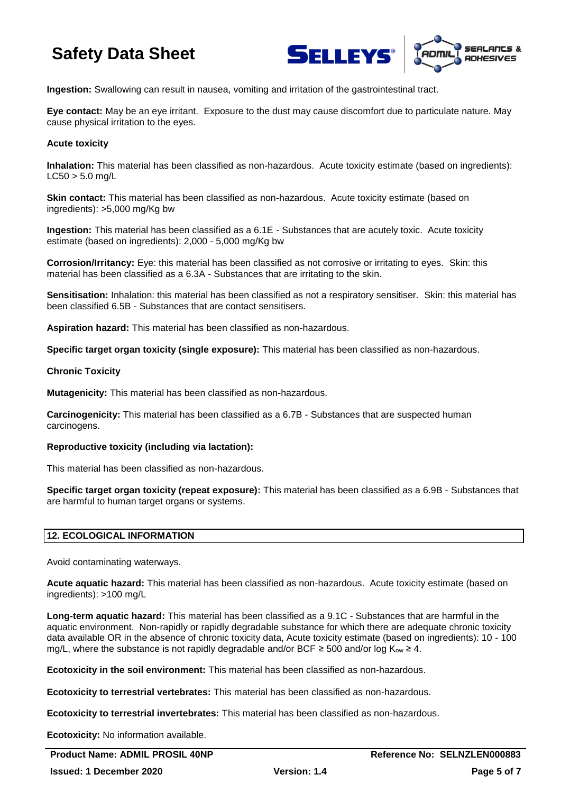



**Ingestion:** Swallowing can result in nausea, vomiting and irritation of the gastrointestinal tract.

**Eye contact:** May be an eye irritant. Exposure to the dust may cause discomfort due to particulate nature. May cause physical irritation to the eyes.

### **Acute toxicity**

**Inhalation:** This material has been classified as non-hazardous. Acute toxicity estimate (based on ingredients):  $L C50 > 5.0$  ma/L

**Skin contact:** This material has been classified as non-hazardous. Acute toxicity estimate (based on ingredients): >5,000 mg/Kg bw

**Ingestion:** This material has been classified as a 6.1E - Substances that are acutely toxic. Acute toxicity estimate (based on ingredients): 2,000 - 5,000 mg/Kg bw

**Corrosion/Irritancy:** Eye: this material has been classified as not corrosive or irritating to eyes. Skin: this material has been classified as a 6.3A - Substances that are irritating to the skin.

**Sensitisation:** Inhalation: this material has been classified as not a respiratory sensitiser. Skin: this material has been classified 6.5B - Substances that are contact sensitisers.

**Aspiration hazard:** This material has been classified as non-hazardous.

**Specific target organ toxicity (single exposure):** This material has been classified as non-hazardous.

### **Chronic Toxicity**

**Mutagenicity:** This material has been classified as non-hazardous.

**Carcinogenicity:** This material has been classified as a 6.7B - Substances that are suspected human carcinogens.

### **Reproductive toxicity (including via lactation):**

This material has been classified as non-hazardous.

**Specific target organ toxicity (repeat exposure):** This material has been classified as a 6.9B - Substances that are harmful to human target organs or systems.

### **12. ECOLOGICAL INFORMATION**

Avoid contaminating waterways.

**Acute aquatic hazard:** This material has been classified as non-hazardous. Acute toxicity estimate (based on ingredients): >100 mg/L

**Long-term aquatic hazard:** This material has been classified as a 9.1C - Substances that are harmful in the aquatic environment. Non-rapidly or rapidly degradable substance for which there are adequate chronic toxicity data available OR in the absence of chronic toxicity data, Acute toxicity estimate (based on ingredients): 10 - 100 mg/L, where the substance is not rapidly degradable and/or BCF  $\geq$  500 and/or log K<sub>ow</sub>  $\geq$  4.

**Ecotoxicity in the soil environment:** This material has been classified as non-hazardous.

**Ecotoxicity to terrestrial vertebrates:** This material has been classified as non-hazardous.

**Ecotoxicity to terrestrial invertebrates:** This material has been classified as non-hazardous.

**Ecotoxicity:** No information available.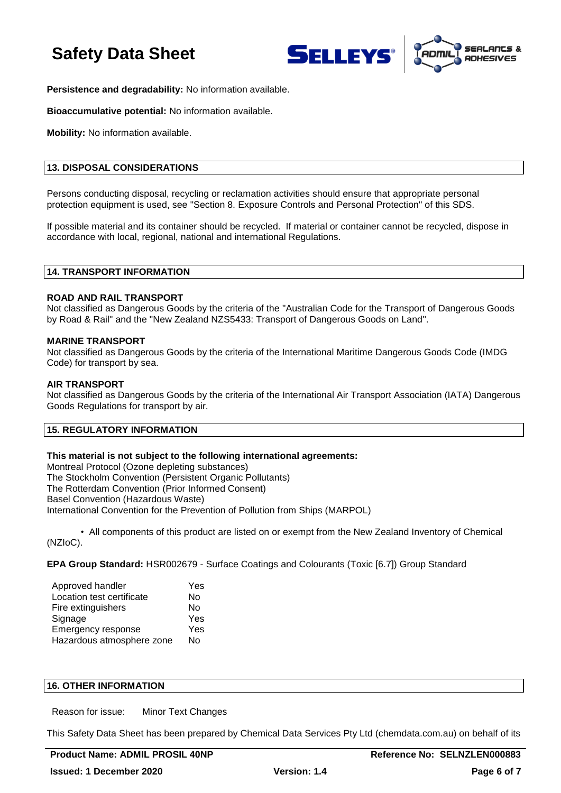



**Persistence and degradability:** No information available.

**Bioaccumulative potential:** No information available.

**Mobility:** No information available.

### **13. DISPOSAL CONSIDERATIONS**

Persons conducting disposal, recycling or reclamation activities should ensure that appropriate personal protection equipment is used, see "Section 8. Exposure Controls and Personal Protection" of this SDS.

If possible material and its container should be recycled. If material or container cannot be recycled, dispose in accordance with local, regional, national and international Regulations.

### **14. TRANSPORT INFORMATION**

### **ROAD AND RAIL TRANSPORT**

Not classified as Dangerous Goods by the criteria of the "Australian Code for the Transport of Dangerous Goods by Road & Rail" and the "New Zealand NZS5433: Transport of Dangerous Goods on Land".

### **MARINE TRANSPORT**

Not classified as Dangerous Goods by the criteria of the International Maritime Dangerous Goods Code (IMDG Code) for transport by sea.

### **AIR TRANSPORT**

Not classified as Dangerous Goods by the criteria of the International Air Transport Association (IATA) Dangerous Goods Regulations for transport by air.

### **15. REGULATORY INFORMATION**

### **This material is not subject to the following international agreements:**

Montreal Protocol (Ozone depleting substances) The Stockholm Convention (Persistent Organic Pollutants) The Rotterdam Convention (Prior Informed Consent) Basel Convention (Hazardous Waste) International Convention for the Prevention of Pollution from Ships (MARPOL)

• All components of this product are listed on or exempt from the New Zealand Inventory of Chemical (NZIoC).

**EPA Group Standard:** HSR002679 - Surface Coatings and Colourants (Toxic [6.7]) Group Standard

| Approved handler          | Yes |
|---------------------------|-----|
| Location test certificate | Nο  |
| Fire extinguishers        | No  |
| Signage                   | Yes |
| Emergency response        | Yes |
| Hazardous atmosphere zone | No  |

### **16. OTHER INFORMATION**

Reason for issue: Minor Text Changes

This Safety Data Sheet has been prepared by Chemical Data Services Pty Ltd (chemdata.com.au) on behalf of its

**Product Name: ADMIL PROSIL 40NP Reference No: SELNZLEN000883**